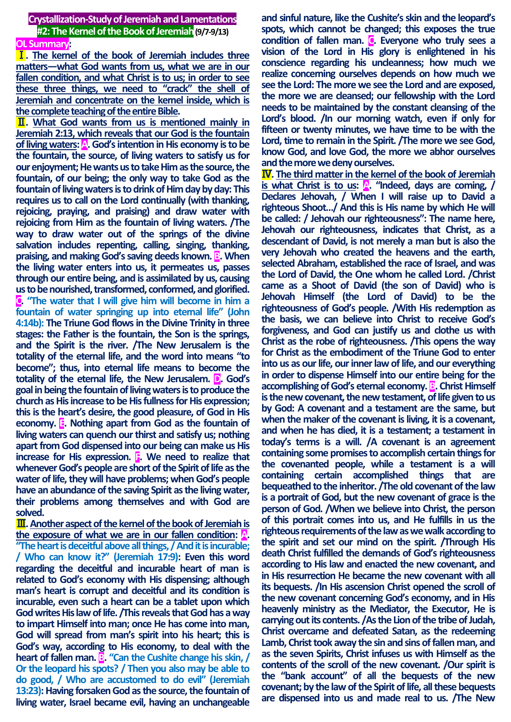**Crystallization-Study of Jeremiah and Lamentations #2: The Kernel of the Book of Jeremiah(9/7-9/13) OL Summary:**

Ⅰ**. The kernel of the book of Jeremiah includes three matters—what God wants from us, what we are in our fallen condition, and what Christ is to us; in order to see these three things, we need to "crack" the shell of Jeremiah and concentrate on the kernel inside, which is the complete teaching of the entire Bible.**

Ⅱ**. What God wants from us is mentioned mainly in Jeremiah 2:13, which reveals that our God is the fountain of living waters: A. God's intention in His economy is to be the fountain, the source, of living waters to satisfy us for our enjoyment; He wants us to take Him as the source, the fountain, of our being; the only way to take God as the fountain of living waters is to drink of Him day by day: This requires us to call on the Lord continually (with thanking, rejoicing, praying, and praising) and draw water with rejoicing from Him as the fountain of living waters. /The way to draw water out of the springs of the divine salvation includes repenting, calling, singing, thanking, praising, and making God's saving deeds known. B. When the living water enters into us, it permeates us, passes through our entire being, and is assimilated by us, causing us to be nourished, transformed, conformed, and glorified. C. "The water that I will give him will become in him a fountain of water springing up into eternal life" (John 4:14b): The Triune God flows in the Divine Trinity in three stages: the Father is the fountain, the Son is the springs, and the Spirit is the river. /The New Jerusalem is the totality of the eternal life, and the word into means "to become"; thus, into eternal life means to become the totality of the eternal life, the New Jerusalem. D. God's goal in being the fountain of living waters is to produce the church as His increase to be His fullness for His expression; this is the heart's desire, the good pleasure, of God in His economy. E. Nothing apart from God as the fountain of living waters can quench our thirst and satisfy us; nothing apart from God dispensed into our being can make us His increase for His expression. F.** We need to realize that **whenever God's people are short of the Spirit of life as the water of life, they will have problems; when God's people have an abundance of the saving Spirit as the living water, their problems among themselves and with God are solved.**

Ⅲ**. Another aspect of the kernel of the book of Jeremiah is the exposure of what we are in our fallen condition: A. "The heart is deceitful above all things, / And it is incurable; / Who can know it?" (Jeremiah 17:9): Even this word regarding the deceitful and incurable heart of man is related to God's economy with His dispensing; although man's heart is corrupt and deceitful and its condition is incurable, even such a heart can be a tablet upon which God writes His law of life. /This reveals that God has a way to impart Himself into man; once He has come into man, God will spread from man's spirit into his heart; this is God's way, according to His economy, to deal with the heart of fallen man. <b>B**. "Can the Cushite change his skin, / **Or the leopard his spots? / Then you also may be able to do good, / Who are accustomed to do evil" (Jeremiah 13:23): Having forsaken God as the source, the fountain of living water, Israel became evil, having an unchangeable**  **and sinful nature, like the Cushite's skin and the leopard's spots, which cannot be changed; this exposes the true condition of fallen man. C. Everyone who truly sees a vision of the Lord in His glory is enlightened in his conscience regarding his uncleanness; how much we realize concerning ourselves depends on how much we see the Lord: The more we see the Lord and are exposed, the more we are cleansed; our fellowship with the Lord needs to be maintained by the constant cleansing of the Lord's blood. /In our morning watch, even if only for fifteen or twenty minutes, we have time to be with the Lord, time to remain in the Spirit. /The more we see God, know God, and love God, the more we abhor ourselves and the more we deny ourselves.**

Ⅳ**. The third matter in the kernel of the book of Jeremiah is what Christ is to us: A. "Indeed, days are coming, / Declares Jehovah, / When I will raise up to David a righteous Shoot…/ And this is His name by which He will be called: / Jehovah our righteousness": The name here, Jehovah our righteousness, indicates that Christ, as a descendant of David, is not merely a man but is also the very Jehovah who created the heavens and the earth, selected Abraham, established the race of Israel, and was the Lord of David, the One whom he called Lord. /Christ came as a Shoot of David (the son of David) who is Jehovah Himself (the Lord of David) to be the righteousness of God's people. /With His redemption as the basis, we can believe into Christ to receive God's forgiveness, and God can justify us and clothe us with Christ as the robe of righteousness. /This opens the way for Christ as the embodiment of the Triune God to enter into us as our life, our inner law of life, and our everything in order to dispense Himself into our entire being for the accomplishing of God's eternal economy. B. Christ Himself is the new covenant, the new testament, of life given to us by God: A covenant and a testament are the same, but when the maker of the covenant is living, it is a covenant, and when he has died, it is a testament; a testament in today's terms is a will. /A covenant is an agreement containing some promises to accomplish certain things for the covenanted people, while a testament is a will containing certain accomplished things that are bequeathed to the inheritor. /The old covenant of the law is a portrait of God, but the new covenant of grace is the person of God. /When we believe into Christ, the person of this portrait comes into us, and He fulfills in us the righteous requirements of the law as we walk according to the spirit and set our mind on the spirit. /Through His death Christ fulfilled the demands of God's righteousness according to His law and enacted the new covenant, and in His resurrection He became the new covenant with all its bequests. /In His ascension Christ opened the scroll of the new covenant concerning God's economy, and in His heavenly ministry as the Mediator, the Executor, He is carrying out its contents. /As the Lion of the tribe of Judah, Christ overcame and defeated Satan, as the redeeming Lamb, Christ took away the sin and sins of fallen man, and as the seven Spirits, Christ infuses us with Himself as the contents of the scroll of the new covenant. /Our spirit is the "bank account" of all the bequests of the new covenant; by the law of the Spirit of life, all these bequests are dispensed into us and made real to us. /The New**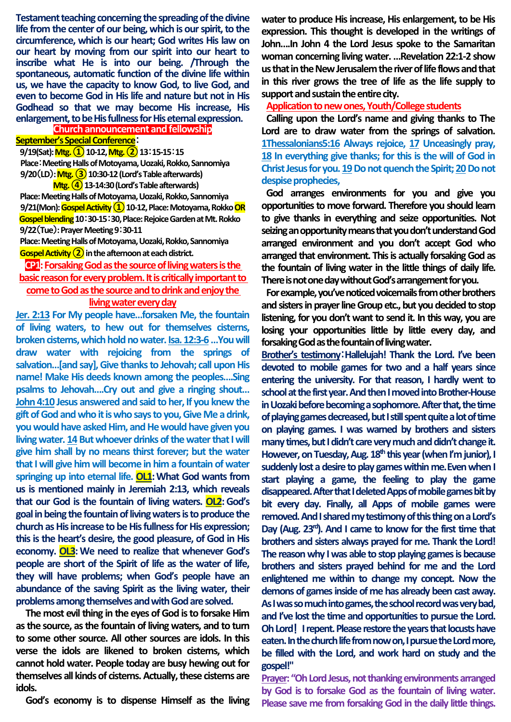**Testament teaching concerning the spreading of the divine life from the center of our being, which is our spirit, to the circumference, which is our heart; God writes His law on our heart by moving from our spirit into our heart to inscribe what He is into our being. /Through the spontaneous, automatic function of the divine life within us, we have the capacity to know God, to live God, and even to become God in His life and nature but not in His Godhead so that we may become His increase, His enlargement, to be His fullness for His eternal expression.**

### **Church announcement and fellowship September's Special Conference**:

**9/19(Sat):Mtg.①10-12, Mtg.②13**:**15-15**:**15** Place: Meeting Halls of Motoyama, Uozaki, Rokko, Sannomiya **9/20**(**LD**)**: Mtg.③10:30-12 (Lord's Table afterwards)**

**Mtg.④13-14:30 (Lord's Table afterwards)** Place: Meeting Halls of Motoyama, Uozaki, Rokko, Sannomiya 9/21(Mon): Gospel Activity (1) 10-12, Place: Motoyama, Rokko <mark>OR</mark> **Gospel blending10**:**30-15**:**30,Place: Rejoice Garden at Mt. Rokko 9/22**(**Tue**)**: Prayer Meeting 9**:**30-11** 

Place: Meeting Halls of Motoyama, Uozaki, Rokko, Sannomiya **Gospel Activity ②in the afternoon at each district.**

# **CP1:** Forsaking God as the source of living waters is the **basic reason for every problem. It is critically important to come to God as the source and to drink and enjoy the living water every day**

**Jer. 2:13 For My people have…forsaken Me, the fountain of living waters, to hew out for themselves cisterns, broken cisterns, which hold no water. Isa. 12:3-6…You will draw water with rejoicing from the springs of**  salvation...[and say], Give thanks to Jehovah; call upon His **name! Make His deeds known among the peoples….Sing psalms to Jehovah….Cry out and give a ringing shout… John 4:10 Jesus answered and said to her, If you knew the gift of God and who it is who says to you, Give Me a drink, you would have asked Him, and He would have given you living water. 14 But whoever drinks of the water that I will give him shall by no means thirst forever; but the water that I will give him will become in him a fountain of water springing up into eternal life. OL1:What God wants from us is mentioned mainly in Jeremiah 2:13, which reveals that our God is the fountain of living waters. OL2:God's goal in being the fountain of living waters is to produce the church as His increase to be His fullness for His expression; this is the heart's desire, the good pleasure, of God in His economy. OL3:We need to realize that whenever God's people are short of the Spirit of life as the water of life, they will have problems; when God's people have an abundance of the saving Spirit as the living water, their problems among themselves and with God are solved.**

**The most evil thing in the eyes of God is to forsake Him as the source, as the fountain of living waters, and to turn to some other source. All other sources are idols. In this verse the idols are likened to broken cisterns, which cannot hold water. People today are busy hewing out for themselves all kinds of cisterns. Actually, these cisterns are idols.**

**God's economy is to dispense Himself as the living** 

**water to produce His increase, His enlargement, to be His expression. This thought is developed in the writings of John….In John 4 the Lord Jesus spoke to the Samaritan woman concerning living water. …Revelation 22:1-2 show us that in the New Jerusalem the river of life flows and that in this river grows the tree of life as the life supply to support and sustain the entire city.**

**Application to new ones, Youth/College students**

**Calling upon the Lord's name and giving thanks to The Lord are to draw water from the springs of salvation. 1Thessalonians5:16 Always rejoice, 17 Unceasingly pray, 18 In everything give thanks; for this is the will of God in Christ Jesus for you. 19 Do not quench the Spirit; 20 Do not despise prophecies,**

**God arranges environments for you and give you opportunities to move forward. Therefore you should learn to give thanks in everything and seize opportunities. Not seizing an opportunity means that you don't understand God arranged environment and you don't accept God who arranged that environment. This is actually forsaking God as the fountain of living water in the little things of daily life. There is not one day without God's arrangement for you.**

**For example, you've noticed voicemails from other brothers and sisters in prayer line Group etc., but you decided to stop listening, for you don't want to send it. In this way, you are losing your opportunities little by little every day, and forsaking God as the fountain of living water.**

**Brother's testimony**:**Hallelujah! Thank the Lord. I've been devoted to mobile games for two and a half years since entering the university. For that reason, I hardly went to school at the first year. And then I moved into Brother-House**  in Uozaki before becoming a sophomore. After that, the time **of playing games decreased, but I still spent quite a lot of time on playing games. I was warned by brothers and sisters many times, but I didn't care very much and didn't change it.**  However, on Tuesday, Aug. 18<sup>th</sup> this year (when I'm junior), I **suddenly lost a desire to play games within me.Even when I start playing a game, the feeling to play the game disappeared.After that I deleted Apps of mobile games bit by bit every day. Finally, all Apps of mobile games were removed. And I shared mytestimony of this thing on a Lord's Day (Aug. 23rd). And I came to know for the first time that brothers and sisters always prayed for me. Thank the Lord! The reason why I was able to stop playing games is because brothers and sisters prayed behind for me and the Lord enlightened me within to change my concept. Now the demons of games inside of me has already been cast away. As Iwas so much into games, the school record was very bad, and I've lost the time and opportunities to pursue the Lord. OhLord!Irepent. Please restore the years that locusts have eaten. In the church life from now on, I pursue the Lord more, be filled with the Lord, and work hard on study and the gospel!"** 

**Prayer: "Oh Lord Jesus, not thanking environments arranged by God is to forsake God as the fountain of living water. Please save me from forsaking God in the daily little things.**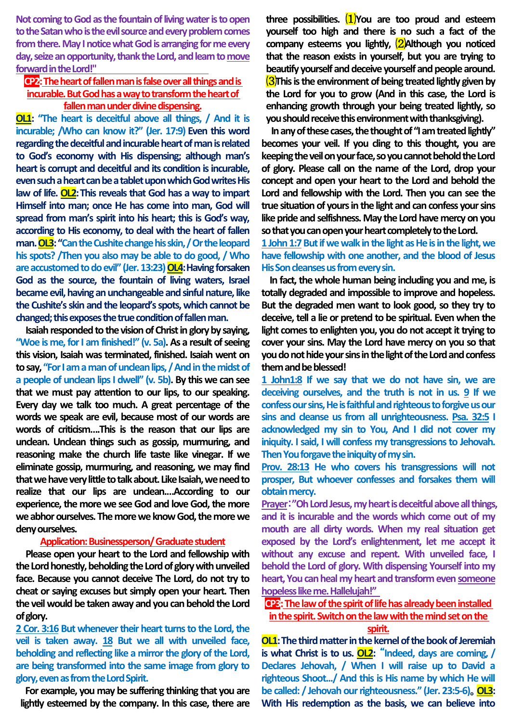**Not coming to God as the fountain of living water is to open**  to the Satan who is the evil source and every problem comes **fromthere. May I notice what God is arranging for me every day, seize an opportunity, thank the Lord, and learn to move forwardin the Lord!"**

# **CP2:The heart of fallen man is false over all things and is incurable. But God has a way to transform the heart of fallen man under divine dispensing.**

**OL1: "The heart is deceitful above all things, / And it is incurable; /Who can know it?" (Jer. 17:9) Even this word regarding the deceitful and incurable heart of man is related to God's economy with His dispensing; although man's heart is corrupt and deceitful and its condition is incurable,**  even such a heart can be a tablet upon which God writes His **law of life. OL2:This reveals that God has a way to impart Himself into man; once He has come into man, God will spread from man's spirit into his heart; this is God's way, according to His economy, to deal with the heart of fallen man. OL3:"Can the Cushite change his skin, / Or the leopard his spots? /Then you also may be able to do good, / Who are accustomed todo evil" (Jer. 13:23) OL4:Having forsaken God as the source, the fountain of living waters, Israel became evil, having an unchangeable and sinful nature, like the Cushite's skin and the leopard's spots, which cannot be changed; this exposes the true condition of fallen man.**

**Isaiah responded to the vision of Christ in glory by saying, "Woe is me, for I am finished!" (v. 5a). As a result of seeing this vision, Isaiah was terminated, finished. Isaiah went on to say, "For I am a man of unclean lips, / And in the midst of a people of unclean lips I dwell" (v. 5b). By this we can see that we must pay attention to our lips, to our speaking. Every day we talk too much. A great percentage of the words we speak are evil, because most of our words are words of criticism….This is the reason that our lips are unclean. Unclean things such as gossip, murmuring, and reasoning make the church life taste like vinegar. If we eliminate gossip, murmuring, and reasoning, we may find that we have very little to talk about. Like Isaiah, we need to realize that our lips are unclean.…According to our experience, the more we see God and love God, the more we abhor ourselves. The more we know God, the more we deny ourselves.** 

# **Application: Businessperson/ Graduate student**

**Please open your heart to the Lord and fellowship with the Lord honestly, beholding the Lord of glory with unveiled face. Because you cannot deceive The Lord, do not try to cheat or saying excuses but simply open your heart. Then the veil would be taken away and you can behold the Lord of glory.**

**2 Cor. 3:16 But whenever their heart turns to the Lord, the veil is taken away. 18 But we all with unveiled face, beholding and reflecting like a mirror the glory of the Lord, are being transformed into the same image from glory to glory, even as from the Lord Spirit.**

**For example, you may be suffering thinking that you are lightly esteemed by the company. In this case, there are**  **three possibilities.** ⑴**You are too proud and esteem yourself too high and there is no such a fact of the company esteems you lightly,** ⑵**Although you noticed that the reason exists in yourself, but you are trying to beautify yourself and deceive yourself and people around.** ⑶**This is the environment of being treated lightly given by the Lord for you to grow (And in this case, the Lord is enhancing growth through your being treated lightly, so you should receive this environment with thanksgiving).** 

**In any of these cases, the thought of "I am treated lightly" becomes your veil. If you cling to this thought, you are keeping the veil on your face, so you cannot behold the Lord of glory. Please call on the name of the Lord, drop your concept and open your heart to the Lord and behold the Lord and fellowship with the Lord. Then you can see the true situation of yours in the light and can confess your sins like pride and selfishness. May the Lord have mercy on you so that you can open your heart completely to the Lord.**

**1 John 1:7But if we walk in the light as He is in the light, we have fellowship with one another, and the blood of Jesus His Son cleanses us from every sin.**

**In fact, the whole human being including you and me, is totally degraded and impossible to improve and hopeless. But the degraded men want to look good, so they try to deceive, tell a lie or pretend to be spiritual. Even when the light comes to enlighten you, you do not accept it trying to cover your sins. May the Lord have mercy on you so that you do not hide your sins in the light of the Lord and confess them and be blessed!** 

**1 John1:8 If we say that we do not have sin, we are deceiving ourselves, and the truth is not in us. 9 If we confess our sins, He is faithful and righteous to forgive us our sins and cleanse us from all unrighteousness. Psa. 32:5 I acknowledged my sin to You, And I did not cover my iniquity. I said, I will confess my transgressions to Jehovah. Then You forgave the iniquity of my sin.**

**Prov. 28:13 He who covers his transgressions will not prosper, But whoever confesses and forsakes them will obtain mercy.**

**Prayer**:**"Oh Lord Jesus, my heart is deceitful above all things, and it is incurable and the words which come out of my mouth are all dirty words. When my real situation get exposed by the Lord's enlightenment, let me accept it without any excuse and repent. With unveiled face, I behold the Lord of glory. With dispensing Yourself into my heart, You can heal my heart and transform even someone hopeless like me. Hallelujah!"**

**CP3:The law of the spirit of life has already been installed in the spirit. Switch on the law with the mind set on the** 

#### **spirit.**

**OL1:The third matter in the kernel of the book of Jeremiah is what Christ is to us. OL2:** "**Indeed, days are coming, / Declares Jehovah, / When I will raise up to David a righteous Shoot.../ And this is His name by which He will be called: / Jehovah our righteousness." (Jer. 23:5-6)**。**OL3: With His redemption as the basis, we can believe into**